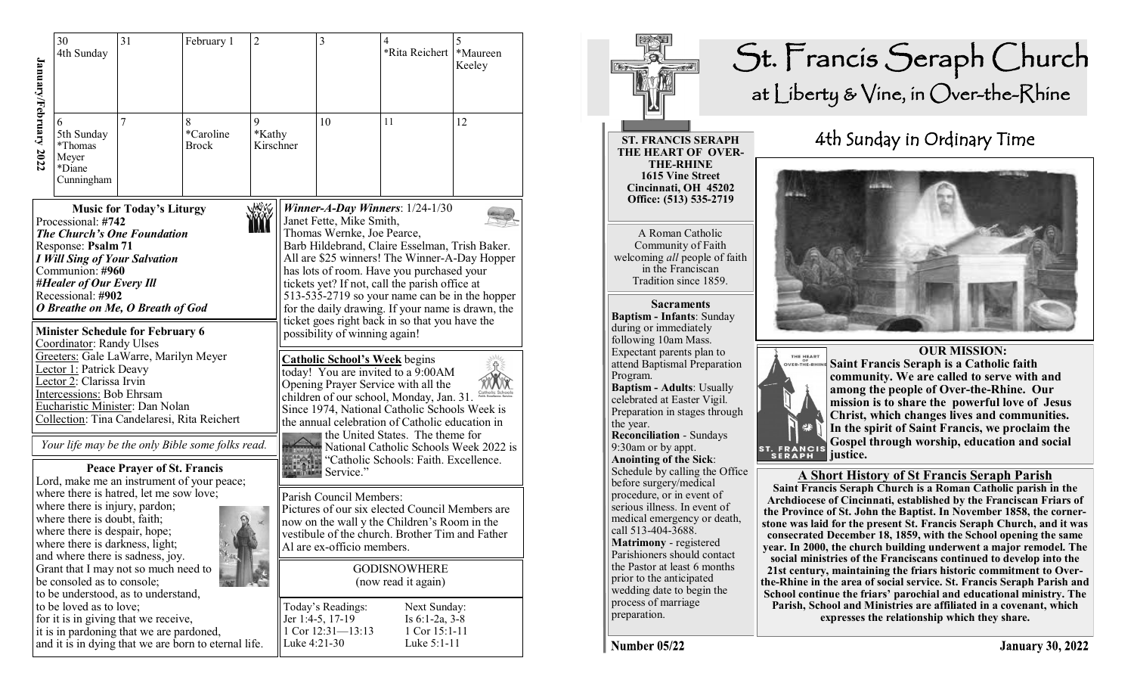|                       | 30<br>4th Sunday                                                                                                                   | 31                                                                                                                                                                                                                                                                                                                                                                                                                                                                                                                                                                                                                                                                                | February 1                                           | $\overline{2}$           |                                            | 3                                                                                                                                                                                                                                                                                                     | 4<br>*Rita Reichert   *Maureen                                                                                                                     | 5<br>Keeley |  |
|-----------------------|------------------------------------------------------------------------------------------------------------------------------------|-----------------------------------------------------------------------------------------------------------------------------------------------------------------------------------------------------------------------------------------------------------------------------------------------------------------------------------------------------------------------------------------------------------------------------------------------------------------------------------------------------------------------------------------------------------------------------------------------------------------------------------------------------------------------------------|------------------------------------------------------|--------------------------|--------------------------------------------|-------------------------------------------------------------------------------------------------------------------------------------------------------------------------------------------------------------------------------------------------------------------------------------------------------|----------------------------------------------------------------------------------------------------------------------------------------------------|-------------|--|
| January/February 2022 | 5th Sunday<br>*Thomas<br>Meyer<br>*Diane<br>Cunningham                                                                             | 7                                                                                                                                                                                                                                                                                                                                                                                                                                                                                                                                                                                                                                                                                 | 8<br>*Caroline<br><b>Brock</b>                       | 9<br>*Kathy<br>Kirschner |                                            | 10                                                                                                                                                                                                                                                                                                    | 11                                                                                                                                                 | 12          |  |
|                       | Processional: #742<br>Response: Psalm 71<br>Communion: #960<br>#Healer of Our Every Ill<br>Recessional: #902                       | Winner-A-Day Winners: $1/24-1/30$<br><b>Music for Today's Liturgy</b><br>Janet Fette, Mike Smith,<br>The Church's One Foundation<br>Thomas Wernke, Joe Pearce,<br>Barb Hildebrand, Claire Esselman, Trish Baker.<br><b>I Will Sing of Your Salvation</b><br>All are \$25 winners! The Winner-A-Day Hopper<br>has lots of room. Have you purchased your<br>tickets yet? If not, call the parish office at<br>513-535-2719 so your name can be in the hopper<br>O Breathe on Me, O Breath of God<br>for the daily drawing. If your name is drawn, the<br>ticket goes right back in so that you have the<br><b>Minister Schedule for February 6</b><br>possibility of winning again! |                                                      |                          |                                            |                                                                                                                                                                                                                                                                                                       |                                                                                                                                                    |             |  |
|                       |                                                                                                                                    | Coordinator: Randy Ulses<br>Greeters: Gale LaWarre, Marilyn Meyer<br><b>Lector 1: Patrick Deavy</b><br>Lector 2: Clarissa Irvin<br>Intercessions: Bob Ehrsam<br>Eucharistic Minister: Dan Nolan<br>Collection: Tina Candelaresi, Rita Reichert                                                                                                                                                                                                                                                                                                                                                                                                                                    |                                                      |                          |                                            | <b>Catholic School's Week</b> begins<br>today! You are invited to a 9:00AM<br>Opening Prayer Service with all the<br>children of our school, Monday, Jan. 31.<br>Since 1974, National Catholic Schools Week is<br>the annual celebration of Catholic education in<br>the United States. The theme for |                                                                                                                                                    |             |  |
|                       |                                                                                                                                    | <b>Peace Prayer of St. Francis</b><br>Lord, make me an instrument of your peace;                                                                                                                                                                                                                                                                                                                                                                                                                                                                                                                                                                                                  | Your life may be the only Bible some folks read.     |                          |                                            | Service."                                                                                                                                                                                                                                                                                             | National Catholic Schools Week 2022 is<br>"Catholic Schools: Faith. Excellence.                                                                    |             |  |
|                       | where there is injury, pardon;<br>where there is doubt, faith;<br>where there is despair, hope;<br>where there is darkness, light; | where there is hatred, let me sow love;                                                                                                                                                                                                                                                                                                                                                                                                                                                                                                                                                                                                                                           |                                                      |                          |                                            | Parish Council Members:<br>Al are ex-officio members.                                                                                                                                                                                                                                                 | Pictures of our six elected Council Members are<br>now on the wall y the Children's Room in the<br>vestibule of the church. Brother Tim and Father |             |  |
|                       |                                                                                                                                    | and where there is sadness, joy.<br>Grant that I may not so much need to<br>be consoled as to console;<br>to be understood, as to understand,                                                                                                                                                                                                                                                                                                                                                                                                                                                                                                                                     |                                                      |                          | <b>GODISNOWHERE</b><br>(now read it again) |                                                                                                                                                                                                                                                                                                       |                                                                                                                                                    |             |  |
|                       | to be loved as to love;                                                                                                            | for it is in giving that we receive,<br>it is in pardoning that we are pardoned,                                                                                                                                                                                                                                                                                                                                                                                                                                                                                                                                                                                                  | and it is in dying that we are born to eternal life. |                          | Luke 4:21-30                               | Today's Readings:<br>Jer 1:4-5, 17-19<br>1 Cor 12:31-13:13                                                                                                                                                                                                                                            | Next Sunday:<br>Is 6:1-2a, 3-8<br>1 Cor 15:1-11<br>Luke 5:1-11                                                                                     |             |  |



**mission is to share the powerful love of Jesus In the spirit of Saint Francis, we proclaim the Gospel through worship, education and social**